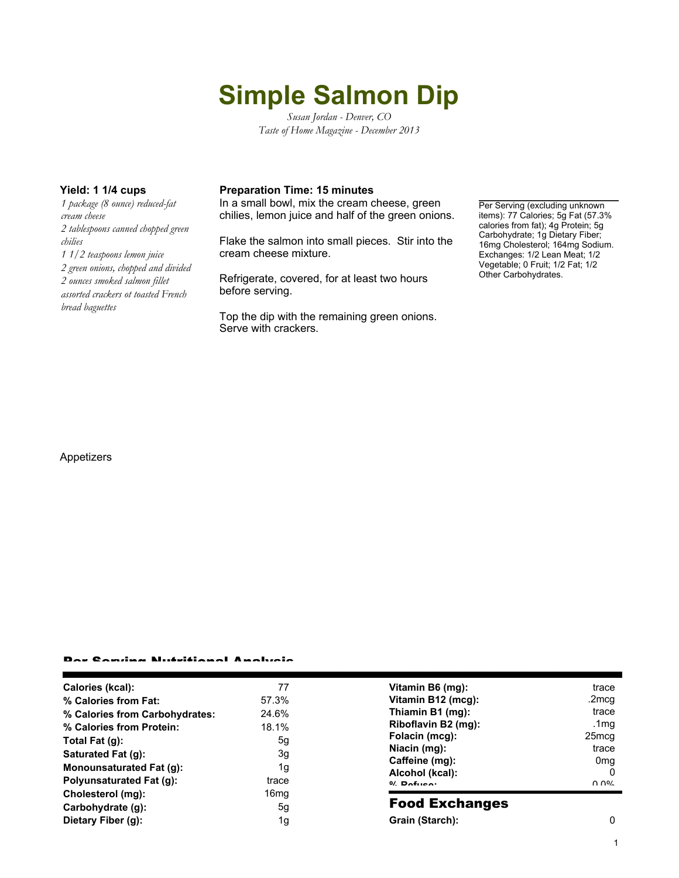# **Simple Salmon Dip**

*Susan Jordan - Denver, CO Taste of Home Magazine - December 2013*

*1 package (8 ounce) reduced-fat cream cheese 2 tablespoons canned chopped green chilies 1 1/2 teaspoons lemon juice 2 green onions, chopped and divided 2 ounces smoked salmon fillet assorted crackers ot toasted French bread baguettes*

### **Yield: 1 1/4 cups Preparation Time: 15 minutes**

In a small bowl, mix the cream cheese, green chilies, lemon juice and half of the green onions.

Flake the salmon into small pieces. Stir into the cream cheese mixture.

Refrigerate, covered, for at least two hours before serving.

Top the dip with the remaining green onions. Serve with crackers.

Per Serving (excluding unknown items): 77 Calories; 5g Fat (57.3% calories from fat); 4g Protein; 5g Carbohydrate; 1g Dietary Fiber; 16mg Cholesterol; 164mg Sodium. Exchanges: 1/2 Lean Meat; 1/2 Vegetable; 0 Fruit; 1/2 Fat; 1/2 Other Carbohydrates.

#### Appetizers

#### Per Serving Nutritional Analysis

| Calories (kcal):                | 77               | Vitamin B6 (mg):                  | trace                |
|---------------------------------|------------------|-----------------------------------|----------------------|
| % Calories from Fat:            | 57.3%            | Vitamin B12 (mcg):                | .2mcq                |
| % Calories from Carbohydrates:  | 24.6%            | Thiamin B1 (mg):                  | trace                |
| % Calories from Protein:        | 18.1%            | Riboflavin B2 (mg):               | .1mg                 |
| Total Fat (q):                  | 5g               | Folacin (mcg):                    | 25 <sub>mcq</sub>    |
| Saturated Fat (g):              | 3g               | Niacin (mg):                      | trace                |
| <b>Monounsaturated Fat (g):</b> | 1g               | Caffeine (mg):                    | 0 <sub>mq</sub><br>0 |
| Polyunsaturated Fat (q):        | trace            | Alcohol (kcal):<br>$0/2$ Pofileo: | በ በ%                 |
| Cholesterol (mg):               | 16 <sub>mq</sub> |                                   |                      |
| Carbohydrate (g):               | 5g               | <b>Food Exchanges</b>             |                      |
| Dietary Fiber (g):              | 1g               | Grain (Starch):                   | 0                    |